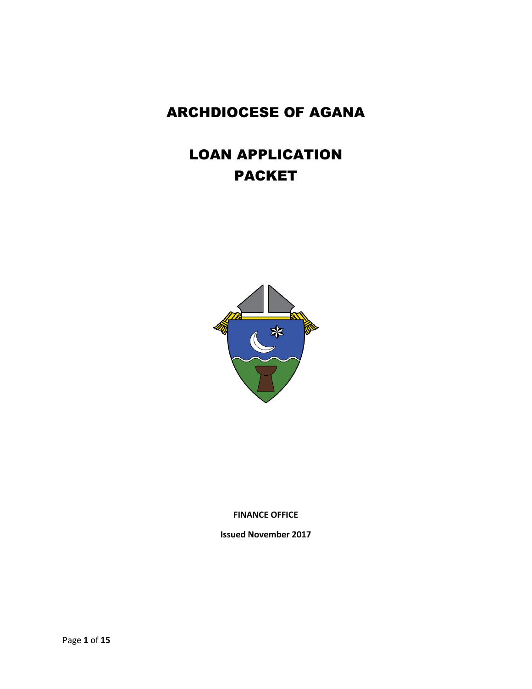## ARCHDIOCESE OF AGANA

# LOAN APPLICATION PACKET



**FINANCE OFFICE**

**Issued November 2017**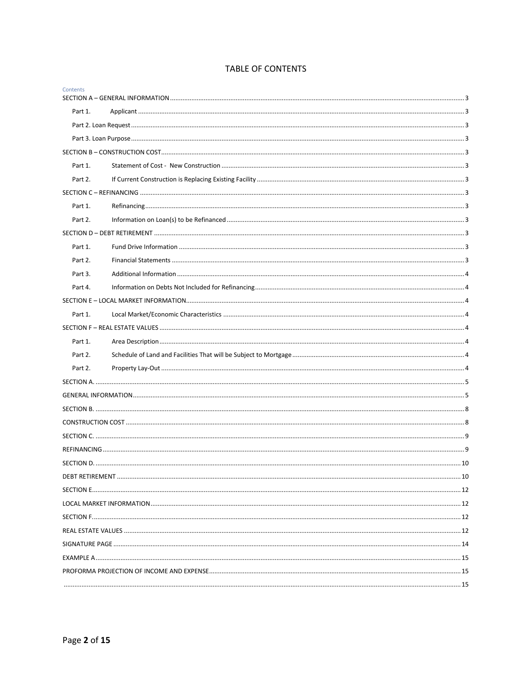## **TABLE OF CONTENTS**

| Contents |  |
|----------|--|
|          |  |
| Part 1.  |  |
|          |  |
|          |  |
|          |  |
| Part 1.  |  |
| Part 2.  |  |
|          |  |
| Part 1.  |  |
| Part 2.  |  |
|          |  |
| Part 1.  |  |
| Part 2.  |  |
| Part 3.  |  |
| Part 4.  |  |
|          |  |
| Part 1.  |  |
|          |  |
| Part 1.  |  |
| Part 2.  |  |
| Part 2.  |  |
|          |  |
|          |  |
|          |  |
|          |  |
|          |  |
|          |  |
|          |  |
|          |  |
|          |  |
|          |  |
|          |  |
|          |  |
|          |  |
|          |  |
|          |  |
|          |  |
|          |  |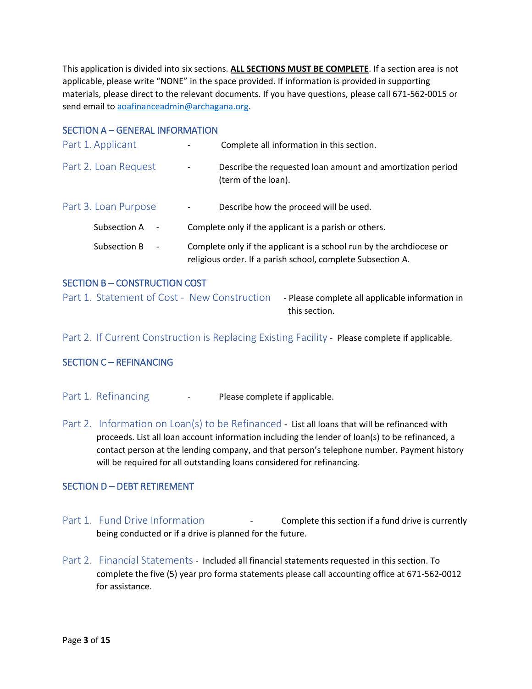This application is divided into six sections. **ALL SECTIONS MUST BE COMPLETE**. If a section area is not applicable, please write "NONE" in the space provided. If information is provided in supporting materials, please direct to the relevant documents. If you have questions, please call 671-562-0015 or send email to [aoafinanceadmin@archagana.org.](mailto:aoafinanceadmin@archagana.org)

## <span id="page-2-0"></span>SECTION A – GENERAL INFORMATION

<span id="page-2-3"></span><span id="page-2-2"></span><span id="page-2-1"></span>

| Part 1. Applicant                        | Complete all information in this section.                                                                                           |
|------------------------------------------|-------------------------------------------------------------------------------------------------------------------------------------|
| Part 2. Loan Request                     | Describe the requested loan amount and amortization period<br>$\overline{\phantom{a}}$<br>(term of the loan).                       |
| Part 3. Loan Purpose                     | Describe how the proceed will be used.                                                                                              |
| Subsection A<br>$\overline{\phantom{a}}$ | Complete only if the applicant is a parish or others.                                                                               |
| Subsection B<br>$\overline{\phantom{a}}$ | Complete only if the applicant is a school run by the archdiocese or<br>religious order. If a parish school, complete Subsection A. |

## <span id="page-2-4"></span>SECTION B – CONSTRUCTION COST

<span id="page-2-5"></span>Part 1. Statement of Cost - New Construction - Please complete all applicable information in this section.

<span id="page-2-6"></span>Part 2. If Current Construction is Replacing Existing Facility - Please complete if applicable.

## <span id="page-2-7"></span>SECTION C – REFINANCING

- <span id="page-2-8"></span>Part 1. Refinancing **- Please complete if applicable.**
- <span id="page-2-9"></span>Part 2. Information on Loan(s) to be Refinanced - List all loans that will be refinanced with proceeds. List all loan account information including the lender of loan(s) to be refinanced, a contact person at the lending company, and that person's telephone number. Payment history will be required for all outstanding loans considered for refinancing.

## <span id="page-2-10"></span>SECTION D – DEBT RETIREMENT

- <span id="page-2-11"></span>Part 1. Fund Drive Information **- Complete this section if a fund drive is currently** being conducted or if a drive is planned for the future.
- <span id="page-2-12"></span>Part 2. Financial Statements - Included all financial statements requested in this section. To complete the five (5) year pro forma statements please call accounting office at 671-562-0012 for assistance.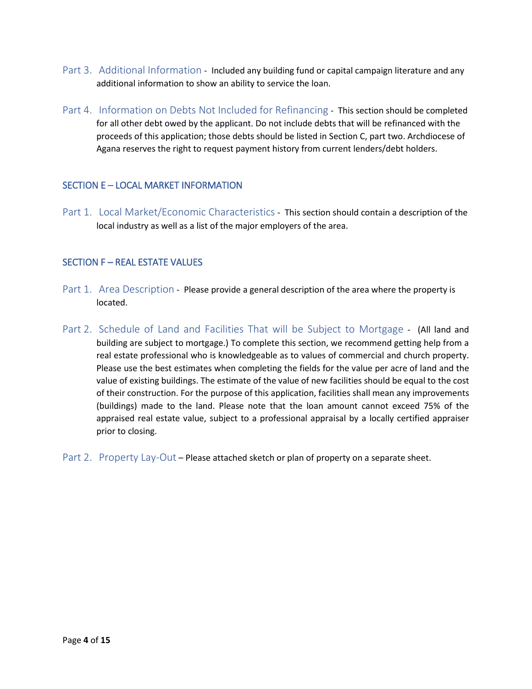- <span id="page-3-0"></span>Part 3. Additional Information - Included any building fund or capital campaign literature and any additional information to show an ability to service the loan.
- <span id="page-3-1"></span>Part 4. Information on Debts Not Included for Refinancing - This section should be completed for all other debt owed by the applicant. Do not include debts that will be refinanced with the proceeds of this application; those debts should be listed in Section C, part two. Archdiocese of Agana reserves the right to request payment history from current lenders/debt holders.

## <span id="page-3-2"></span>SECTION E – LOCAL MARKET INFORMATION

<span id="page-3-3"></span>Part 1. Local Market/Economic Characteristics - This section should contain a description of the local industry as well as a list of the major employers of the area.

#### <span id="page-3-4"></span>SECTION F – REAL ESTATE VALUES

- <span id="page-3-5"></span>Part 1. Area Description - Please provide a general description of the area where the property is located.
- <span id="page-3-6"></span>Part 2. Schedule of Land and Facilities That will be Subject to Mortgage - (All land and building are subject to mortgage.) To complete this section, we recommend getting help from a real estate professional who is knowledgeable as to values of commercial and church property. Please use the best estimates when completing the fields for the value per acre of land and the value of existing buildings. The estimate of the value of new facilities should be equal to the cost of their construction. For the purpose of this application, facilities shall mean any improvements (buildings) made to the land. Please note that the loan amount cannot exceed 75% of the appraised real estate value, subject to a professional appraisal by a locally certified appraiser prior to closing.
- <span id="page-3-7"></span>Part 2. Property Lay-Out – Please attached sketch or plan of property on a separate sheet.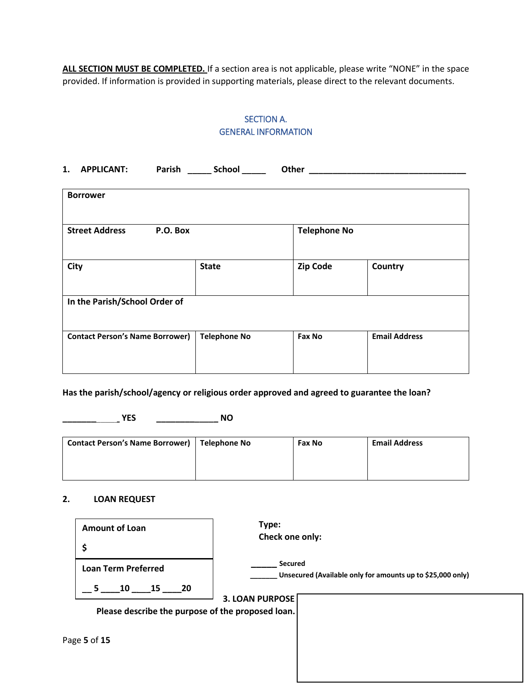<span id="page-4-0"></span>ALL SECTION MUST BE COMPLETED. If a section area is not applicable, please write "NONE" in the space provided. If information is provided in supporting materials, please direct to the relevant documents.

## SECTION A. GENERAL INFORMATION

<span id="page-4-1"></span>

| 1.<br><b>APPLICANT:</b>                | Parish School       | Other               |                      |
|----------------------------------------|---------------------|---------------------|----------------------|
| <b>Borrower</b>                        |                     |                     |                      |
| <b>Street Address</b>                  | P.O. Box            | <b>Telephone No</b> |                      |
| City                                   | <b>State</b>        | <b>Zip Code</b>     | <b>Country</b>       |
| In the Parish/School Order of          |                     |                     |                      |
| <b>Contact Person's Name Borrower)</b> | <b>Telephone No</b> | Fax No              | <b>Email Address</b> |

**Has the parish/school/agency or religious order approved and agreed to guarantee the loan?**

**\_\_\_\_\_\_\_\_\_\_\_\_ YES \_\_\_\_\_\_\_\_\_\_\_\_\_ NO**

| <b>Contact Person's Name Borrower)</b> | Telephone No | <b>Fax No</b> | <b>Email Address</b> |
|----------------------------------------|--------------|---------------|----------------------|
|                                        |              |               |                      |
|                                        |              |               |                      |

#### **2. LOAN REQUEST**

| <b>Amount of Loan</b><br>\$                       | Type:<br>Check one only:                                              |
|---------------------------------------------------|-----------------------------------------------------------------------|
| <b>Loan Term Preferred</b><br>$15$ 20<br>10<br>5  | Secured<br>Unsecured (Available only for amounts up to \$25,000 only) |
| Please describe the purpose of the proposed loan. | <b>3. LOAN PURPOSE</b>                                                |
| Page 5 of 15                                      |                                                                       |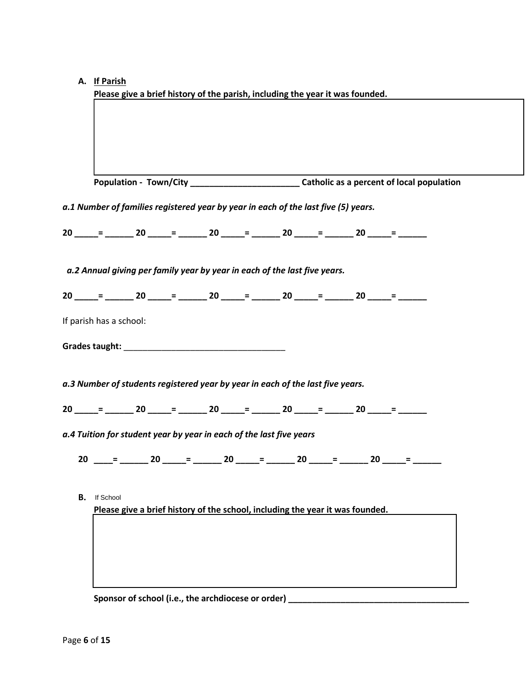| А. |  | If Parish |  |
|----|--|-----------|--|
|    |  |           |  |

| a.1 Number of families registered year by year in each of the last five (5) years.<br>20 $ =$ $ 20$ $ =$ $ 20$ $ =$ $ 20$ $ =$ $ 20$ $ =$ $-$                                                                                                                                                   |  | a.4 Tuition for student year by year in each of the last five years<br>20 _____= ______ 20 ______= ______ 20 ______= ______ 20 ______= ______ 20 ______= _____ |
|-------------------------------------------------------------------------------------------------------------------------------------------------------------------------------------------------------------------------------------------------------------------------------------------------|--|----------------------------------------------------------------------------------------------------------------------------------------------------------------|
| a.2 Annual giving per family year by year in each of the last five years.<br>$20 = 20 = 20 = 20 = 20 = 20 = 20 =$<br>If parish has a school:<br>a.3 Number of students registered year by year in each of the last five years.<br>20 $ =$ $ 20$ $=$ $ 20$ $=$ $ 20$ $=$ $ 20$ $=$ $ 20$ $=$ $-$ |  |                                                                                                                                                                |
|                                                                                                                                                                                                                                                                                                 |  |                                                                                                                                                                |
|                                                                                                                                                                                                                                                                                                 |  |                                                                                                                                                                |
|                                                                                                                                                                                                                                                                                                 |  |                                                                                                                                                                |
|                                                                                                                                                                                                                                                                                                 |  |                                                                                                                                                                |
|                                                                                                                                                                                                                                                                                                 |  |                                                                                                                                                                |
|                                                                                                                                                                                                                                                                                                 |  |                                                                                                                                                                |
|                                                                                                                                                                                                                                                                                                 |  |                                                                                                                                                                |
|                                                                                                                                                                                                                                                                                                 |  |                                                                                                                                                                |
|                                                                                                                                                                                                                                                                                                 |  |                                                                                                                                                                |
|                                                                                                                                                                                                                                                                                                 |  |                                                                                                                                                                |
|                                                                                                                                                                                                                                                                                                 |  |                                                                                                                                                                |
|                                                                                                                                                                                                                                                                                                 |  |                                                                                                                                                                |
|                                                                                                                                                                                                                                                                                                 |  |                                                                                                                                                                |
|                                                                                                                                                                                                                                                                                                 |  |                                                                                                                                                                |
| If School<br>В.                                                                                                                                                                                                                                                                                 |  |                                                                                                                                                                |
| Please give a brief history of the school, including the year it was founded.                                                                                                                                                                                                                   |  |                                                                                                                                                                |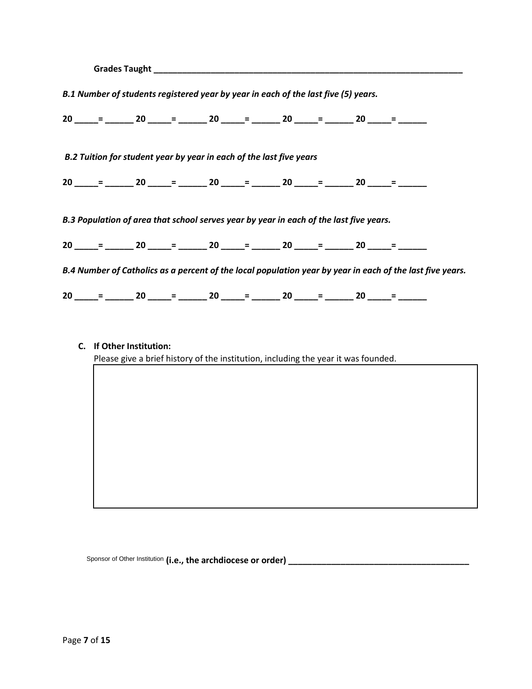| B.1 Number of students registered year by year in each of the last five (5) years.     |  |  |  |                                                                                                           |  |
|----------------------------------------------------------------------------------------|--|--|--|-----------------------------------------------------------------------------------------------------------|--|
|                                                                                        |  |  |  | $20$ _____= ______ 20 _____= _____ 20 _____= _____ 20 _____= ______ 20 _____= ______                      |  |
| B.2 Tuition for student year by year in each of the last five years                    |  |  |  |                                                                                                           |  |
|                                                                                        |  |  |  | $20$ ____= ______ 20 ____= _____ 20 ____= _____ 20 ____= ______ 20 ____= ______                           |  |
| B.3 Population of area that school serves year by year in each of the last five years. |  |  |  |                                                                                                           |  |
|                                                                                        |  |  |  |                                                                                                           |  |
|                                                                                        |  |  |  | B.4 Number of Catholics as a percent of the local population year by year in each of the last five years. |  |
|                                                                                        |  |  |  | $20$ _____= ______ 20 _____= ______ 20 _____= ______ 20 _____= ______ 20 _____= ______                    |  |

**C. If Other Institution:**

Please give a brief history of the institution, including the year it was founded.

Sponsor **Sponsor of school (i.e., the archdiocese or**  of Other Institution **order) \_\_\_\_\_\_\_\_\_\_\_\_\_\_\_\_\_\_\_\_\_\_\_\_\_\_\_\_\_\_\_\_\_\_\_\_\_\_**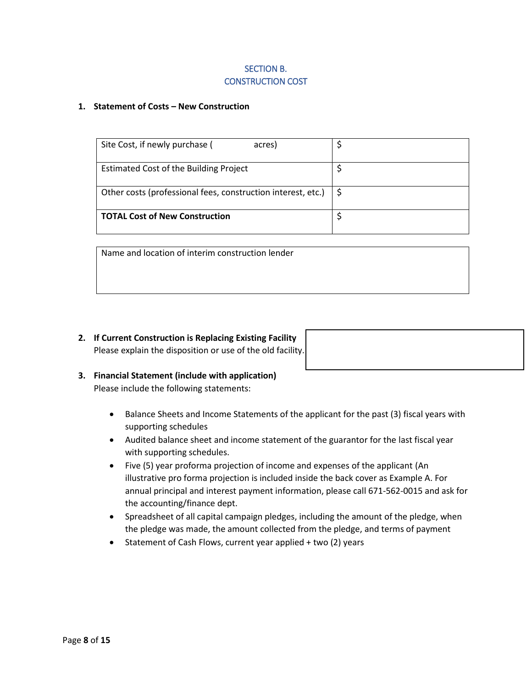## SECTION B. CONSTRUCTION COST

#### <span id="page-7-1"></span><span id="page-7-0"></span>**1. Statement of Costs – New Construction**

| Site Cost, if newly purchase (<br>acres)                     |  |
|--------------------------------------------------------------|--|
| <b>Estimated Cost of the Building Project</b>                |  |
| Other costs (professional fees, construction interest, etc.) |  |
| <b>TOTAL Cost of New Construction</b>                        |  |

Name and location of interim construction lender

**2. If Current Construction is Replacing Existing Facility** Please explain the disposition or use of the old facility.

- **3. Financial Statement (include with application)** Please include the following statements:
	- Balance Sheets and Income Statements of the applicant for the past (3) fiscal years with supporting schedules
	- Audited balance sheet and income statement of the guarantor for the last fiscal year with supporting schedules.
	- Five (5) year proforma projection of income and expenses of the applicant (An illustrative pro forma projection is included inside the back cover as Example A. For annual principal and interest payment information, please call 671-562-0015 and ask for the accounting/finance dept.
	- Spreadsheet of all capital campaign pledges, including the amount of the pledge, when the pledge was made, the amount collected from the pledge, and terms of payment
	- Statement of Cash Flows, current year applied + two (2) years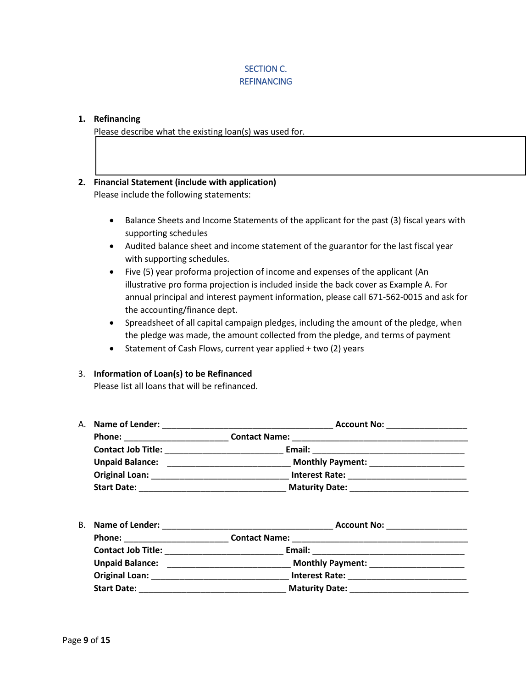## SECTION C. **REFINANCING**

#### <span id="page-8-1"></span><span id="page-8-0"></span>**1. Refinancing**

Please describe what the existing loan(s) was used for.

## **2. Financial Statement (include with application)** Please include the following statements:

- Balance Sheets and Income Statements of the applicant for the past (3) fiscal years with supporting schedules
- Audited balance sheet and income statement of the guarantor for the last fiscal year with supporting schedules.
- Five (5) year proforma projection of income and expenses of the applicant (An illustrative pro forma projection is included inside the back cover as Example A. For annual principal and interest payment information, please call 671-562-0015 and ask for the accounting/finance dept.
- Spreadsheet of all capital campaign pledges, including the amount of the pledge, when the pledge was made, the amount collected from the pledge, and terms of payment
- Statement of Cash Flows, current year applied + two (2) years

#### 3. **Information of Loan(s) to be Refinanced**

Please list all loans that will be refinanced.

| A. Name of Lender:        | <b>Account No:</b>      |
|---------------------------|-------------------------|
| <b>Phone:</b>             | <b>Contact Name:</b>    |
| <b>Contact Job Title:</b> | Email:                  |
| <b>Unpaid Balance:</b>    | <b>Monthly Payment:</b> |
| <b>Original Loan:</b>     | <b>Interest Rate:</b>   |
| <b>Start Date:</b>        | <b>Maturity Date:</b>   |

| <b>B.</b> Name of Lender: | <b>Account No:</b>      |
|---------------------------|-------------------------|
| <b>Phone:</b>             | <b>Contact Name:</b>    |
| <b>Contact Job Title:</b> | Email:                  |
| <b>Unpaid Balance:</b>    | <b>Monthly Payment:</b> |
| <b>Original Loan:</b>     | <b>Interest Rate:</b>   |
| <b>Start Date:</b>        | <b>Maturity Date:</b>   |
|                           |                         |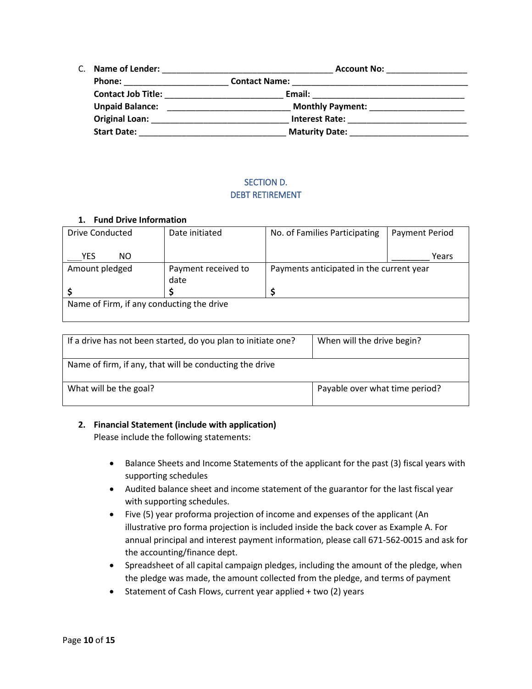| C. | <b>Name of Lender:</b>    | <b>Account No:</b>      |
|----|---------------------------|-------------------------|
|    | <b>Phone:</b>             | <b>Contact Name:</b>    |
|    | <b>Contact Job Title:</b> | Email:                  |
|    | <b>Unpaid Balance:</b>    | <b>Monthly Payment:</b> |
|    | <b>Original Loan:</b>     | <b>Interest Rate:</b>   |
|    | <b>Start Date:</b>        | <b>Maturity Date:</b>   |

## SECTION D. DEBT RETIREMENT

#### <span id="page-9-1"></span><span id="page-9-0"></span>**1. Fund Drive Information**

| Drive Conducted                           | Date initiated      | No. of Families Participating            | <b>Payment Period</b> |  |  |  |
|-------------------------------------------|---------------------|------------------------------------------|-----------------------|--|--|--|
| YES<br>NO.                                |                     |                                          | Years                 |  |  |  |
| Amount pledged                            | Payment received to | Payments anticipated in the current year |                       |  |  |  |
|                                           | date                |                                          |                       |  |  |  |
|                                           |                     |                                          |                       |  |  |  |
| Name of Firm, if any conducting the drive |                     |                                          |                       |  |  |  |
|                                           |                     |                                          |                       |  |  |  |

| If a drive has not been started, do you plan to initiate one? | When will the drive begin?     |
|---------------------------------------------------------------|--------------------------------|
| Name of firm, if any, that will be conducting the drive       |                                |
| What will be the goal?                                        | Payable over what time period? |

#### **2. Financial Statement (include with application)**

Please include the following statements:

- Balance Sheets and Income Statements of the applicant for the past (3) fiscal years with supporting schedules
- Audited balance sheet and income statement of the guarantor for the last fiscal year with supporting schedules.
- Five (5) year proforma projection of income and expenses of the applicant (An illustrative pro forma projection is included inside the back cover as Example A. For annual principal and interest payment information, please call 671-562-0015 and ask for the accounting/finance dept.
- Spreadsheet of all capital campaign pledges, including the amount of the pledge, when the pledge was made, the amount collected from the pledge, and terms of payment
- Statement of Cash Flows, current year applied + two (2) years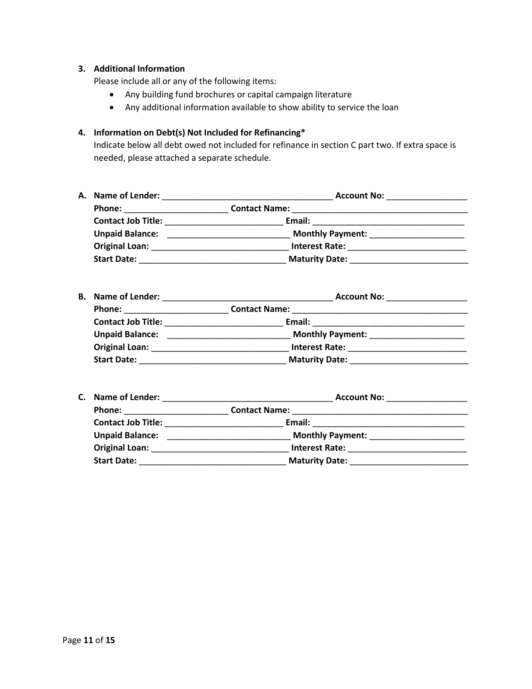#### **3. Additional Information**

Please include all or any of the following items:

- Any building fund brochures or capital campaign literature
- Any additional information available to show ability to service the loan

## **4. Information on Debt(s) Not Included for Refinancing\***

Indicate below all debt owed not included for refinance in section C part two. If extra space is needed, please attached a separate schedule.

| A. Name of Lender:        | <b>Account No:</b>      |  |
|---------------------------|-------------------------|--|
| <b>Phone:</b>             | <b>Contact Name:</b>    |  |
| <b>Contact Job Title:</b> | Email:                  |  |
| <b>Unpaid Balance:</b>    | <b>Monthly Payment:</b> |  |
| <b>Original Loan:</b>     | <b>Interest Rate:</b>   |  |
| <b>Start Date:</b>        | <b>Maturity Date:</b>   |  |

| <b>B.</b> Name of Lender: | <b>Account No:</b>      |
|---------------------------|-------------------------|
| Phone:                    | <b>Contact Name:</b>    |
| <b>Contact Job Title:</b> | Email:                  |
| <b>Unpaid Balance:</b>    | <b>Monthly Payment:</b> |
| <b>Original Loan:</b>     | <b>Interest Rate:</b>   |
| <b>Start Date:</b>        | <b>Maturity Date:</b>   |

| C. Name of Lender:        | <b>Account No:</b>      |  |  |  |  |  |
|---------------------------|-------------------------|--|--|--|--|--|
| <b>Phone:</b>             | <b>Contact Name:</b>    |  |  |  |  |  |
| <b>Contact Job Title:</b> | Email:                  |  |  |  |  |  |
| <b>Unpaid Balance:</b>    | <b>Monthly Payment:</b> |  |  |  |  |  |
| <b>Original Loan:</b>     | <b>Interest Rate:</b>   |  |  |  |  |  |
| <b>Start Date:</b>        | <b>Maturity Date:</b>   |  |  |  |  |  |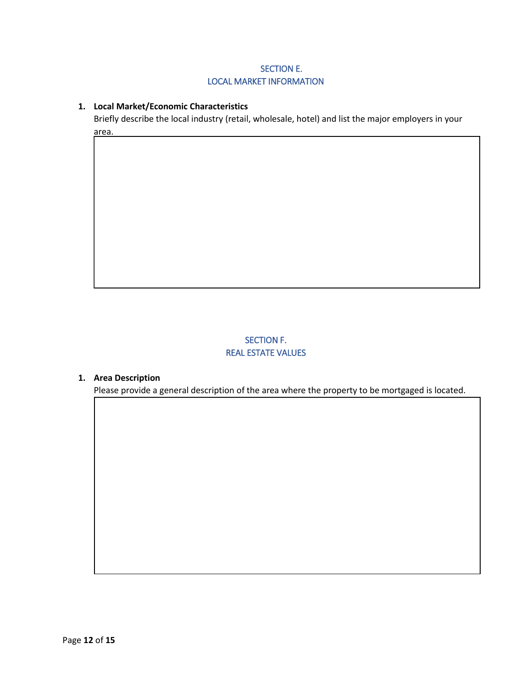## SECTION E. LOCAL MARKET INFORMATION

### <span id="page-11-1"></span><span id="page-11-0"></span>**1. Local Market/Economic Characteristics**

Briefly describe the local industry (retail, wholesale, hotel) and list the major employers in your area.

## SECTION F. REAL ESTATE VALUES

#### <span id="page-11-3"></span><span id="page-11-2"></span>**1. Area Description**

Please provide a general description of the area where the property to be mortgaged is located.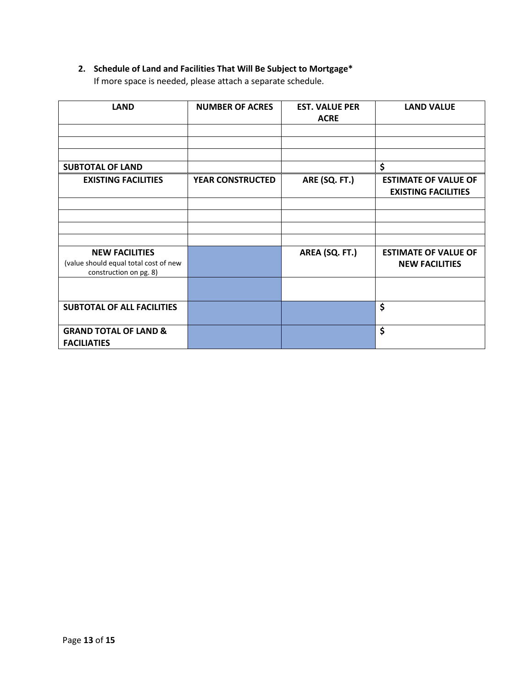## **2. Schedule of Land and Facilities That Will Be Subject to Mortgage\***

If more space is needed, please attach a separate schedule.

| <b>LAND</b>                                                                              | <b>NUMBER OF ACRES</b>  | <b>EST. VALUE PER</b><br><b>ACRE</b> | <b>LAND VALUE</b>                                         |
|------------------------------------------------------------------------------------------|-------------------------|--------------------------------------|-----------------------------------------------------------|
|                                                                                          |                         |                                      |                                                           |
|                                                                                          |                         |                                      |                                                           |
| <b>SUBTOTAL OF LAND</b>                                                                  |                         |                                      | \$                                                        |
| <b>EXISTING FACILITIES</b>                                                               | <b>YEAR CONSTRUCTED</b> | ARE (SQ. FT.)                        | <b>ESTIMATE OF VALUE OF</b><br><b>EXISTING FACILITIES</b> |
|                                                                                          |                         |                                      |                                                           |
|                                                                                          |                         |                                      |                                                           |
|                                                                                          |                         |                                      |                                                           |
|                                                                                          |                         |                                      |                                                           |
| <b>NEW FACILITIES</b><br>(value should equal total cost of new<br>construction on pg. 8) |                         | AREA (SQ. FT.)                       | <b>ESTIMATE OF VALUE OF</b><br><b>NEW FACILITIES</b>      |
|                                                                                          |                         |                                      |                                                           |
| <b>SUBTOTAL OF ALL FACILITIES</b>                                                        |                         |                                      | \$                                                        |
| <b>GRAND TOTAL OF LAND &amp;</b><br><b>FACILIATIES</b>                                   |                         |                                      | \$                                                        |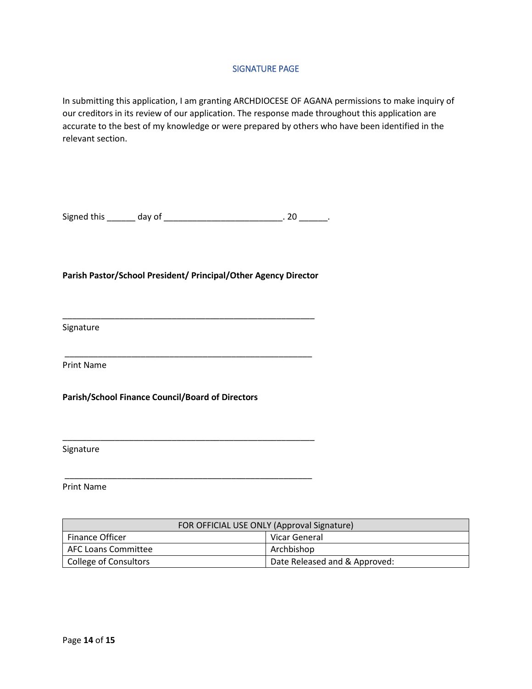#### SIGNATURE PAGE

<span id="page-13-0"></span>In submitting this application, I am granting ARCHDIOCESE OF AGANA permissions to make inquiry of our creditors in its review of our application. The response made throughout this application are accurate to the best of my knowledge or were prepared by others who have been identified in the relevant section.

Signed this \_\_\_\_\_\_ day of \_\_\_\_\_\_\_\_\_\_\_\_\_\_\_\_\_\_\_\_\_\_\_\_\_\_. 20 \_\_\_\_\_\_.

#### **Parish Pastor/School President/ Principal/Other Agency Director**

\_\_\_\_\_\_\_\_\_\_\_\_\_\_\_\_\_\_\_\_\_\_\_\_\_\_\_\_\_\_\_\_\_\_\_\_\_\_\_\_\_\_\_\_\_\_\_\_\_\_\_\_\_

\_\_\_\_\_\_\_\_\_\_\_\_\_\_\_\_\_\_\_\_\_\_\_\_\_\_\_\_\_\_\_\_\_\_\_\_\_\_\_\_\_\_\_\_\_\_\_\_\_\_\_\_

\_\_\_\_\_\_\_\_\_\_\_\_\_\_\_\_\_\_\_\_\_\_\_\_\_\_\_\_\_\_\_\_\_\_\_\_\_\_\_\_\_\_\_\_\_\_\_\_\_\_\_\_\_

\_\_\_\_\_\_\_\_\_\_\_\_\_\_\_\_\_\_\_\_\_\_\_\_\_\_\_\_\_\_\_\_\_\_\_\_\_\_\_\_\_\_\_\_\_\_\_\_\_\_\_\_

Signature

Print Name

**Parish/School Finance Council/Board of Directors**

Signature

Print Name

| FOR OFFICIAL USE ONLY (Approval Signature) |                               |  |  |  |
|--------------------------------------------|-------------------------------|--|--|--|
| <b>Finance Officer</b>                     | Vicar General                 |  |  |  |
| <b>AFC Loans Committee</b>                 | Archbishop                    |  |  |  |
| College of Consultors                      | Date Released and & Approved: |  |  |  |